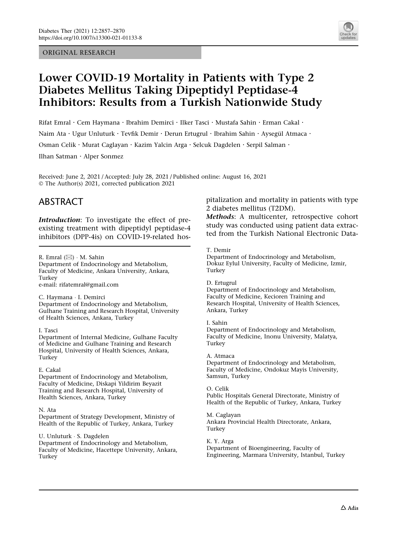ORIGINAL RESEARCH



# Lower COVID-19 Mortality in Patients with Type 2 Diabetes Mellitus Taking Dipeptidyl Peptidase-4 Inhibitors: Results from a Turkish Nationwide Study

Rifat Emral · Cem Haymana · Ibrahim Demirci · Ilker Tasci · Mustafa Sahin · Erman Cakal · Naim Ata · Ugur Unluturk · Tevfik Demir · Derun Ertugrul · Ibrahim Sahin · Aysegül Atmaca · Osman Celik · Murat Caglayan · Kazim Yalcin Arga · Selcuk Dagdelen · Serpil Salman · Ilhan Satman . Alper Sonmez

Received: June 2, 2021 / Accepted: July 28, 2021 / Published online: August 16, 2021 © The Author(s) 2021, corrected publication 2021

# ABSTRACT

Introduction: To investigate the effect of preexisting treatment with dipeptidyl peptidase-4 inhibitors (DPP-4is) on COVID-19-related hos-

R. Emral (⊠) · M. Sahin

Department of Endocrinology and Metabolism, Faculty of Medicine, Ankara University, Ankara, Turkey e-mail: rifatemral@gmail.com

#### C. Haymana - I. Demirci

Department of Endocrinology and Metabolism, Gulhane Training and Research Hospital, University of Health Sciences, Ankara, Turkey

#### I. Tasci

Department of Internal Medicine, Gulhane Faculty of Medicine and Gulhane Training and Research Hospital, University of Health Sciences, Ankara, Turkey

#### E. Cakal

Department of Endocrinology and Metabolism, Faculty of Medicine, Diskapi Yildirim Beyazit Training and Research Hospital, University of Health Sciences, Ankara, Turkey

#### N. Ata

Department of Strategy Development, Ministry of Health of the Republic of Turkey, Ankara, Turkey

U. Unluturk - S. Dagdelen

Department of Endocrinology and Metabolism, Faculty of Medicine, Hacettepe University, Ankara, Turkey

pitalization and mortality in patients with type 2 diabetes mellitus (T2DM).

Methods: A multicenter, retrospective cohort study was conducted using patient data extracted from the Turkish National Electronic Data-

#### T. Demir

Department of Endocrinology and Metabolism, Dokuz Eylul University, Faculty of Medicine, Izmir, Turkey

#### D. Ertugrul

Department of Endocrinology and Metabolism, Faculty of Medicine, Kecioren Training and Research Hospital, University of Health Sciences, Ankara, Turkey

#### I. Sahin

Department of Endocrinology and Metabolism, Faculty of Medicine, Inonu University, Malatya, Turkey

A. Atmaca Department of Endocrinology and Metabolism, Faculty of Medicine, Ondokuz Mayis University, Samsun, Turkey

O. Celik Public Hospitals General Directorate, Ministry of Health of the Republic of Turkey, Ankara, Turkey

M. Caglayan Ankara Provincial Health Directorate, Ankara, Turkey

K. Y. Arga Department of Bioengineering, Faculty of Engineering, Marmara University, Istanbul, Turkey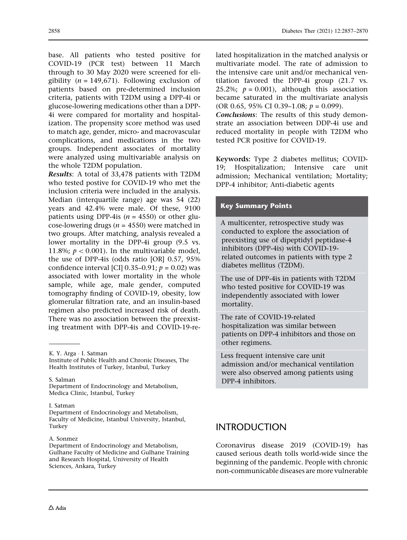base. All patients who tested positive for COVID-19 (PCR test) between 11 March through to 30 May 2020 were screened for eligibility ( $n = 149.671$ ). Following exclusion of patients based on pre-determined inclusion criteria, patients with T2DM using a DPP-4i or glucose-lowering medications other than a DPP-4i were compared for mortality and hospitalization. The propensity score method was used to match age, gender, micro- and macrovascular complications, and medications in the two groups. Independent associates of mortality were analyzed using multivariable analysis on the whole T2DM population.

Results: A total of 33,478 patients with T2DM who tested postive for COVID-19 who met the inclusion criteria were included in the analysis. Median (interquartile range) age was 54 (22) years and 42.4% were male. Of these, 9100 patients using DPP-4is ( $n = 4550$ ) or other glucose-lowering drugs ( $n = 4550$ ) were matched in two groups. After matching, analysis revealed a lower mortality in the DPP-4i group (9.5 vs. 11.8%;  $p < 0.001$ ). In the multivariable model, the use of DPP-4is (odds ratio [OR] 0.57, 95% confidence interval [CI]  $0.35-0.91$ ;  $p = 0.02$ ) was associated with lower mortality in the whole sample, while age, male gender, computed tomography finding of COVID-19, obesity, low glomerular filtration rate, and an insulin-based regimen also predicted increased risk of death. There was no association between the preexisting treatment with DPP-4is and COVID-19-re-

S. Salman

Department of Endocrinology and Metabolism, Medica Clinic, Istanbul, Turkey

#### I. Satman

Department of Endocrinology and Metabolism, Faculty of Medicine, Istanbul University, Istanbul, Turkey

#### A. Sonmez

Department of Endocrinology and Metabolism, Gulhane Faculty of Medicine and Gulhane Training and Research Hospital, University of Health Sciences, Ankara, Turkey

lated hospitalization in the matched analysis or multivariate model. The rate of admission to the intensive care unit and/or mechanical ventilation favored the DPP-4i group (21.7 vs. 25.2%;  $p = 0.001$ ), although this association became saturated in the multivariate analysis (OR 0.65, 95% CI 0.39–1.08;  $p = 0.099$ ).

Conclusions: The results of this study demonstrate an association between DDP-4i use and reduced mortality in people with T2DM who tested PCR positive for COVID-19.

Keywords: Type 2 diabetes mellitus; COVID-19; Hospitalization; Intensive care unit admission; Mechanical ventilation; Mortality; DPP-4 inhibitor; Anti-diabetic agents

### Key Summary Points

A multicenter, retrospective study was conducted to explore the association of preexisting use of dipeptidyl peptidase-4 inhibitors (DPP-4is) with COVID-19 related outcomes in patients with type 2 diabetes mellitus (T2DM).

The use of DPP-4is in patients with T2DM who tested positive for COVID-19 was independently associated with lower mortality.

The rate of COVID-19-related hospitalization was similar between patients on DPP-4 inhibitors and those on other regimens.

Less frequent intensive care unit admission and/or mechanical ventilation were also observed among patients using DPP-4 inhibitors.

### INTRODUCTION

Coronavirus disease 2019 (COVID-19) has caused serious death tolls world-wide since the beginning of the pandemic. People with chronic non-communicable diseases are more vulnerable

K. Y. Arga - I. Satman

Institute of Public Health and Chronic Diseases, The Health Institutes of Turkey, Istanbul, Turkey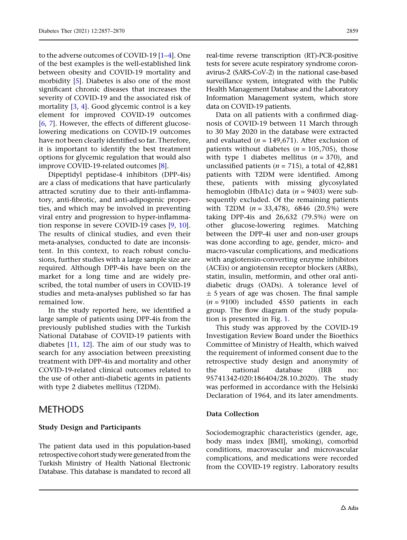to the adverse outcomes of COVID-19 [[1–4](#page-11-0)]. One of the best examples is the well-established link between obesity and COVID-19 mortality and morbidity [\[5](#page-12-0)]. Diabetes is also one of the most significant chronic diseases that increases the severity of COVID-19 and the associated risk of mortality [[3](#page-11-0), [4](#page-11-0)]. Good glycemic control is a key element for improved COVID-19 outcomes [\[6,](#page-12-0) [7\]](#page-12-0). However, the effects of different glucoselowering medications on COVID-19 outcomes have not been clearly identified so far. Therefore, it is important to identify the best treatment options for glycemic regulation that would also improve COVID-19-related outcomes [\[8](#page-12-0)].

Dipeptidyl peptidase-4 inhibitors (DPP-4is) are a class of medications that have particularly attracted scrutiny due to their anti-inflammatory, anti-fibrotic, and anti-adipogenic properties, and which may be involved in preventing viral entry and progression to hyper-inflammation response in severe COVID-19 cases [[9](#page-12-0), [10\]](#page-12-0). The results of clinical studies, and even their meta-analyses, conducted to date are inconsistent. In this context, to reach robust conclusions, further studies with a large sample size are required. Although DPP-4is have been on the market for a long time and are widely prescribed, the total number of users in COVID-19 studies and meta-analyses published so far has remained low.

In the study reported here, we identified a large sample of patients using DPP-4is from the previously published studies with the Turkish National Database of COVID-19 patients with diabetes [[11](#page-12-0), [12\]](#page-12-0). The aim of our study was to search for any association between preexisting treatment with DPP-4is and mortality and other COVID-19-related clinical outcomes related to the use of other anti-diabetic agents in patients with type 2 diabetes mellitus (T2DM).

### METHODS

### Study Design and Participants

The patient data used in this population-based retrospective cohort study were generated from the Turkish Ministry of Health National Electronic Database. This database is mandated to record all

real-time reverse transcription (RT)-PCR-positive tests for severe acute respiratory syndrome coronavirus-2 (SARS-CoV-2) in the national case-based surveillance system, integrated with the Public Health Management Database and the Laboratory Information Management system, which store data on COVID-19 patients.

Data on all patients with a confirmed diagnosis of COVID-19 between 11 March through to 30 May 2020 in the database were extracted and evaluated ( $n = 149.671$ ). After exclusion of patients without diabetes ( $n = 105,705$ ), those with type 1 diabetes mellitus  $(n = 370)$ , and unclassified patients ( $n = 715$ ), a total of 42,881 patients with T2DM were identified. Among these, patients with missing glycosylated hemoglobin (HbA1c) data ( $n = 9403$ ) were subsequently excluded. Of the remaining patients with T2DM  $(n = 33,478)$ , 6846 (20.5%) were taking DPP-4is and 26,632 (79.5%) were on other glucose-lowering regimes. Matching between the DPP-4i user and non-user groups was done according to age, gender, micro- and macro-vascular complications, and medications with angiotensin-converting enzyme inhibitors (ACEis) or angiotensin receptor blockers (ARBs), statin, insulin, metformin, and other oral antidiabetic drugs (OADs). A tolerance level of  $\pm$  5 years of age was chosen. The final sample  $(n = 9100)$  included 4550 patients in each group. The flow diagram of the study population is presented in Fig. [1](#page-3-0).

This study was approved by the COVID-19 Investigation Review Board under the Bioethics Committee of Ministry of Health, which waived the requirement of informed consent due to the retrospective study design and anonymity of the national database (IRB no: 95741342-020:186404/28.10.2020). The study was performed in accordance with the Helsinki Declaration of 1964, and its later amendments.

### Data Collection

Sociodemographic characteristics (gender, age, body mass index [BMI], smoking), comorbid conditions, macrovascular and microvascular complications, and medications were recorded from the COVID-19 registry. Laboratory results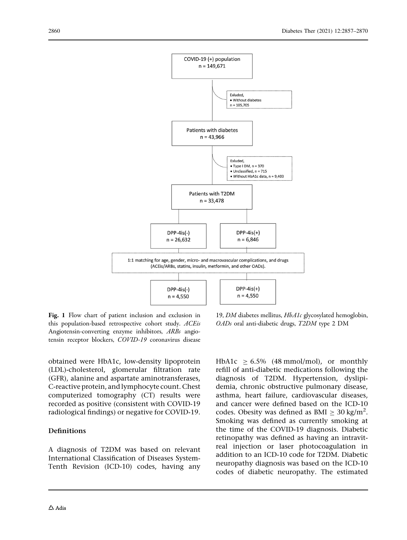<span id="page-3-0"></span>

Fig. 1 Flow chart of patient inclusion and exclusion in this population-based retrospective cohort study. ACEis Angiotensin-converting enzyme inhibitors, ARBs angiotensin receptor blockers, COVID-19 coronavirus disease

obtained were HbA1c, low-density lipoprotein (LDL)-cholesterol, glomerular filtration rate (GFR), alanine and aspartate aminotransferases, C-reactive protein, and lymphocyte count. Chest computerized tomography (CT) results were recorded as positive (consistent with COVID-19 radiological findings) or negative for COVID-19.

### Definitions

A diagnosis of T2DM was based on relevant International Classification of Diseases System-Tenth Revision (ICD-10) codes, having any

19, DM diabetes mellitus, HbA1c glycosylated hemoglobin, OADs oral anti-diabetic drugs, T2DM type 2 DM

HbA1c  $\geq$  6.5% (48 mmol/mol), or monthly refill of anti-diabetic medications following the diagnosis of T2DM. Hypertension, dyslipidemia, chronic obstructive pulmonary disease, asthma, heart failure, cardiovascular diseases, and cancer were defined based on the ICD-10 codes. Obesity was defined as BMI  $\geq 30$  kg/m<sup>2</sup>. Smoking was defined as currently smoking at the time of the COVID-19 diagnosis. Diabetic retinopathy was defined as having an intravitreal injection or laser photocoagulation in addition to an ICD-10 code for T2DM. Diabetic neuropathy diagnosis was based on the ICD-10 codes of diabetic neuropathy. The estimated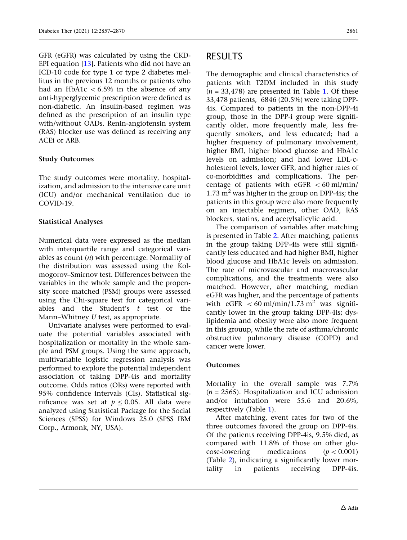GFR (eGFR) was calculated by using the CKD-EPI equation [\[13\]](#page-12-0). Patients who did not have an ICD-10 code for type 1 or type 2 diabetes mellitus in the previous 12 months or patients who had an HbA1c  $\lt$  6.5% in the absence of any anti-hyperglycemic prescription were defined as non-diabetic. An insulin-based regimen was defined as the prescription of an insulin type with/without OADs. Renin-angiotensin system (RAS) blocker use was defined as receiving any ACEi or ARB.

### Study Outcomes

The study outcomes were mortality, hospitalization, and admission to the intensive care unit (ICU) and/or mechanical ventilation due to COVID-19.

### Statistical Analyses

Numerical data were expressed as the median with interquartile range and categorical variables as count  $(n)$  with percentage. Normality of the distribution was assessed using the Kolmogorov–Smirnov test. Differences between the variables in the whole sample and the propensity score matched (PSM) groups were assessed using the Chi-square test for categorical variables and the Student's  $t$  test or the Mann–Whitney U test, as appropriate.

Univariate analyses were performed to evaluate the potential variables associated with hospitalization or mortality in the whole sample and PSM groups. Using the same approach, multivariable logistic regression analysis was performed to explore the potential independent association of taking DPP-4is and mortality outcome. Odds ratios (ORs) were reported with 95% confidence intervals (CIs). Statistical significance was set at  $p \le 0.05$ . All data were analyzed using Statistical Package for the Social Sciences (SPSS) for Windows 25.0 (SPSS IBM Corp., Armonk, NY, USA).

# RESULTS

The demographic and clinical characteristics of patients with T2DM included in this study  $(n = 33,478)$  are presented in Table [1.](#page-5-0) Of these 33,478 patients, 6846 (20.5%) were taking DPP-4is. Compared to patients in the non-DPP-4i group, those in the DPP-i group were significantly older, more frequently male, less frequently smokers, and less educated; had a higher frequency of pulmonary involvement, higher BMI, higher blood glucose and HbA1c levels on admission; and had lower LDL-cholesterol levels, lower GFR, and higher rates of co-morbidities and complications. The percentage of patients with  $eGFR < 60$  ml/min/ 1.73  $m<sup>2</sup>$  was higher in the group on DPP-4is; the patients in this group were also more frequently on an injectable regimen, other OAD, RAS blockers, statins, and acetylsalicylic acid.

The comparison of variables after matching is presented in Table [2.](#page-7-0) After matching, patients in the group taking DPP-4is were still significantly less educated and had higher BMI, higher blood glucose and HbA1c levels on admission. The rate of microvascular and macrovascular complications, and the treatments were also matched. However, after matching, median eGFR was higher, and the percentage of patients with  $\text{eGFR} \, < 60 \text{ ml/min}/1.73 \text{ m}^2$  was significantly lower in the group taking DPP-4is; dyslipidemia and obesity were also more frequent in this grouup, while the rate of asthma/chronic obstructive pulmonary disease (COPD) and cancer were lower.

### Outcomes

Mortality in the overall sample was 7.7%  $(n = 2565)$ . Hospitalization and ICU admission and/or intubation were 55.6 and 20.6%, respectively (Table [1\)](#page-5-0).

After matching, event rates for two of the three outcomes favored the group on DPP-4is. Of the patients receiving DPP-4is, 9.5% died, as compared with 11.8% of those on other glucose-lowering medications  $(p < 0.001)$ (Table [2](#page-7-0)), indicating a significantly lower mortality in patients receiving DPP-4is.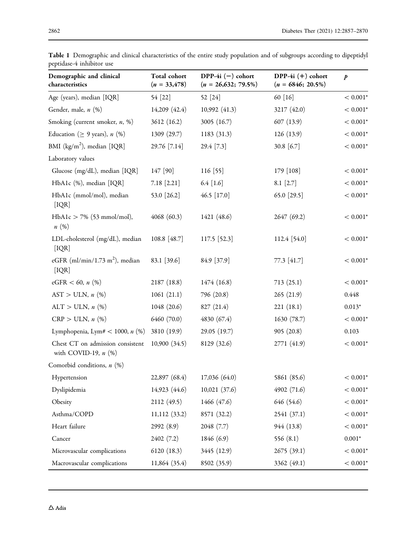| Demographic and clinical<br>characteristics                   | Total cohort<br>$(n = 33,478)$ | DPP-4i $(-)$ cohort<br>$(n = 26,632; 79.5\%)$ | DPP-4i $(+)$ cohort<br>$(n = 6846; 20.5\%)$ | $\boldsymbol{p}$ |
|---------------------------------------------------------------|--------------------------------|-----------------------------------------------|---------------------------------------------|------------------|
| Age (years), median [IQR]                                     | 54 [22]                        | 52 [24]                                       | 60 [16]                                     | $< 0.001^{\ast}$ |
| Gender, male, n (%)                                           | 14,209 (42.4)                  | 10,992 (41.3)                                 | 3217 (42.0)                                 | $< 0.001^{\ast}$ |
| Smoking (current smoker, n, %)                                | 3612 (16.2)                    | 3005 (16.7)                                   | 607(13.9)                                   | $< 0.001*$       |
| Education ( $\geq$ 9 years), <i>n</i> (%)                     | 1309 (29.7)                    | 1183 (31.3)                                   | 126(13.9)                                   | $< 0.001^{\ast}$ |
| BMI ( $\text{kg/m}^2$ ), median [IQR]                         | 29.76 [7.14]                   | 29.4 [7.3]                                    | 30.8 [6.7]                                  | $< 0.001*$       |
| Laboratory values                                             |                                |                                               |                                             |                  |
| Glucose (mg/dL), median [IQR]                                 | 147 [90]                       | 116 [55]                                      | 179 [108]                                   | $< 0.001*$       |
| HbA1c (%), median [IQR]                                       | $7.18$ [2.21]                  | $6.4$ [1.6]                                   | $8.1$ [2.7]                                 | $< 0.001^{\ast}$ |
| HbA1c (mmol/mol), median<br>[IQR]                             | 53.0 [26.2]                    | 46.5 [17.0]                                   | 65.0 [29.5]                                 | $< 0.001*$       |
| $HbA1c > 7%$ (53 mmol/mol),<br>n(%)                           | 4068 (60.3)                    | 1421 (48.6)                                   | 2647 (69.2)                                 | $< 0.001*$       |
| LDL-cholesterol (mg/dL), median<br>[IQR]                      | 108.8 [48.7]                   | 117.5 [52.3]                                  | 112.4 [54.0]                                | $< 0.001*$       |
| eGFR (ml/min/1.73 m <sup>2</sup> ), median<br>[IQR]           | 83.1 [39.6]                    | 84.9 [37.9]                                   | 77.3 [41.7]                                 | $< 0.001*$       |
| eGFR < 60, $n$ (%)                                            | 2187 (18.8)                    | 1474 (16.8)                                   | 713(25.1)                                   | $< 0.001*$       |
| $AST > ULN, n$ (%)                                            | 1061(21.1)                     | 796 (20.8)                                    | 265(21.9)                                   | 0.448            |
| $ALT > ULN, n$ (%)                                            | 1048 (20.6)                    | 827 (21.4)                                    | 221(18.1)                                   | $0.013*$         |
| $CRP > ULN, n$ (%)                                            | 6460 (70.0)                    | 4830 (67.4)                                   | 1630 (78.7)                                 | $< 0.001*$       |
| Lymphopenia, Lym# < 1000, $n$ (%)                             | 3810 (19.9)                    | 29.05 (19.7)                                  | 905(20.8)                                   | 0.103            |
| Chest CT on admission consistent<br>with COVID-19, $n$ $(\%)$ | 10,900(34.5)                   | 8129 (32.6)                                   | 2771 (41.9)                                 | $< 0.001*$       |
| Comorbid conditions, $n$ (%)                                  |                                |                                               |                                             |                  |
| Hypertension                                                  | 22,897 (68.4)                  | 17,036 (64.0)                                 | 5861 (85.6)                                 | $< 0.001*$       |
| Dyslipidemia                                                  | 14,923 (44.6)                  | 10,021 (37.6)                                 | 4902 (71.6)                                 | $< 0.001*$       |
| Obesity                                                       | 2112 (49.5)                    | 1466 (47.6)                                   | 646 (54.6)                                  | $< 0.001^{\ast}$ |
| Asthma/COPD                                                   | $11,112$ (33.2)                | 8571 (32.2)                                   | 2541 (37.1)                                 | $< 0.001*$       |
| Heart failure                                                 | 2992 (8.9)                     | 2048 (7.7)                                    | 944 (13.8)                                  | $< 0.001*$       |
| Cancer                                                        | 2402 (7.2)                     | 1846 (6.9)                                    | 556 (8.1)                                   | $0.001^{\ast}$   |
| Microvascular complications                                   | 6120 (18.3)                    | 3445 (12.9)                                   | 2675(39.1)                                  | $< 0.001^{\ast}$ |
| Macrovascular complications                                   | 11,864 (35.4)                  | 8502 (35.9)                                   | 3362 (49.1)                                 | $< 0.001^{\ast}$ |

<span id="page-5-0"></span>Table 1 Demographic and clinical characteristics of the entire study population and of subgroups according to dipeptidyl peptidase-4 inhibitor use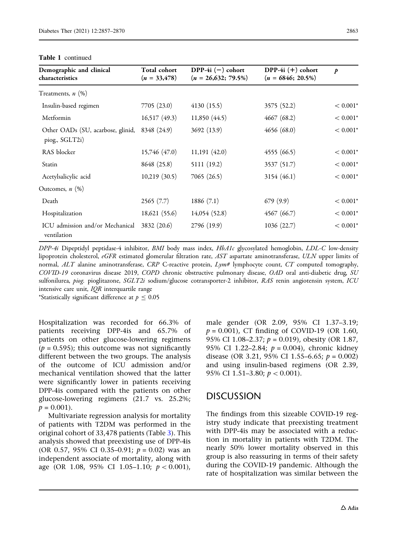| Demographic and clinical<br>characteristics         | Total cohort<br>$(n = 33,478)$ | DPP-4i $(-)$ cohort<br>$(n = 26,632; 79.5\%)$ | DPP-4i $(+)$ cohort<br>$(n = 6846; 20.5\%)$ | $\boldsymbol{p}$ |
|-----------------------------------------------------|--------------------------------|-----------------------------------------------|---------------------------------------------|------------------|
| Treatments, $n$ $(\%)$                              |                                |                                               |                                             |                  |
| Insulin-based regimen                               | 7705(23.0)                     | 4130(15.5)                                    | 3575 (52.2)                                 | $< 0.001*$       |
| Metformin                                           | 16,517(49.3)                   | 11,850 (44.5)                                 | 4667(68.2)                                  | $< 0.001*$       |
| Other OADs (SU, acarbose, glinid,<br>piog., SGLT2i) | 8348 (24.9)                    | 3692 (13.9)                                   | 4656(68.0)                                  | $< 0.001*$       |
| RAS blocker                                         | 15,746 (47.0)                  | 11,191(42.0)                                  | 4555 (66.5)                                 | $< 0.001*$       |
| Statin                                              | 8648 (25.8)                    | 5111 (19.2)                                   | 3537 (51.7)                                 | $< 0.001*$       |
| Acetylsalicylic acid                                | 10,219(30.5)                   | 7065(26.5)                                    | 3154 (46.1)                                 | $< 0.001*$       |
| Outcomes, $n$ $(\%)$                                |                                |                                               |                                             |                  |
| Death                                               | 2565(7.7)                      | 1886(7.1)                                     | 679(9.9)                                    | $< 0.001*$       |
| Hospitalization                                     | 18,621 (55.6)                  | 14,054 (52.8)                                 | 4567 (66.7)                                 | $< 0.001*$       |
| ICU admission and/or Mechanical<br>ventilation      | 3832 (20.6)                    | 2796 (19.9)                                   | 1036(22.7)                                  | $< 0.001*$       |

Table 1 continued

DPP-4i Dipeptidyl peptidase-4 inhibitor, BMI body mass index, HbA1c glycosylated hemoglobin, LDL-C low-density lipoprotein cholesterol, eGFR estimated glomerular filtration rate, AST aspartate aminotransferase, ULN upper limits of normal, ALT alanine aminotransferase, CRP C-reactive protein, Lym# lymphocyte count, CT computed tomography, COVID-19 coronavirus disease 2019, COPD chronic obstructive pulmonary disease, OAD oral anti-diabetic drug, SU sulfonilurea, piog. pioglitazone, SGLT2i sodium/glucose cotransporter-2 inhibitor, RAS renin angiotensin system, ICU intensive care unit,  $IQR$  interquartile range

\*Statistically significant difference at  $p \leq 0.05$ 

Hospitalization was recorded for 66.3% of patients receiving DPP-4is and 65.7% of patients on other glucose-lowering regimens  $(p = 0.595)$ ; this outcome was not significantly different between the two groups. The analysis of the outcome of ICU admission and/or mechanical ventilation showed that the latter were significantly lower in patients receiving DPP-4is compared with the patients on other glucose-lowering regimens (21.7 vs. 25.2%;  $p = 0.001$ .

Multivariate regression analysis for mortality of patients with T2DM was performed in the original cohort of 33,478 patients (Table [3\)](#page-9-0). This analysis showed that preexisting use of DPP-4is (OR 0.57, 95% CI 0.35–0.91;  $p = 0.02$ ) was an independent associate of mortality, along with age (OR 1.08, 95% CI 1.05–1.10;  $p < 0.001$ ),

male gender (OR 2.09, 95% CI 1.37–3.19;  $p = 0.001$ ), CT finding of COVID-19 (OR 1.60, 95% CI 1.08–2.37;  $p = 0.019$ ), obesity (OR 1.87, 95% CI 1.22–2.84;  $p = 0.004$ ), chronic kidney disease (OR 3.21, 95% CI 1.55–6.65;  $p = 0.002$ ) and using insulin-based regimens (OR 2.39, 95% CI 1.51-3.80;  $p < 0.001$ ).

# DISCUSSION

The findings from this sizeable COVID-19 registry study indicate that preexisting treatment with DPP-4is may be associated with a reduction in mortality in patients with T2DM. The nearly 50% lower mortality observed in this group is also reassuring in terms of their safety during the COVID-19 pandemic. Although the rate of hospitalization was similar between the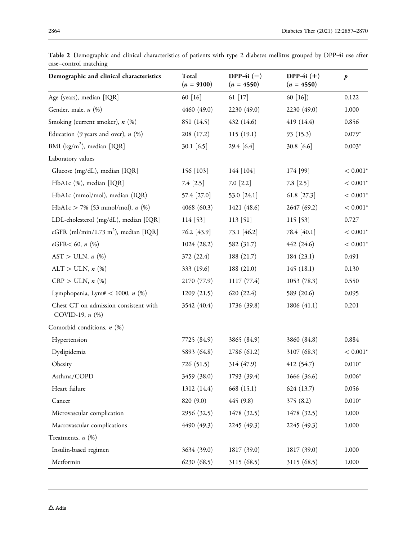| Demographic and clinical characteristics                      | Total<br>$(n = 9100)$ | DPP-4i $(-)$<br>$(n = 4550)$ | DPP-4i $(+)$<br>$(n = 4550)$ | $\boldsymbol{p}$ |
|---------------------------------------------------------------|-----------------------|------------------------------|------------------------------|------------------|
| Age (years), median [IQR]                                     | 60 [16]               | 61 [17]                      | 60 $[16]$                    | 0.122            |
| Gender, male, n (%)                                           | 4460 (49.0)           | 2230 (49.0)                  | 2230 (49.0)                  | 1.000            |
| Smoking (current smoker), n (%)                               | 851 (14.5)            | 432 (14.6)                   | 419 (14.4)                   | 0.856            |
| Education (9 years and over), $n$ (%)                         | 208 (17.2)            | 115(19.1)                    | 93(15.3)                     | $0.079*$         |
| BMI (kg/m <sup>2</sup> ), median [IQR]                        | 30.1 $[6.5]$          | 29.4 [6.4]                   | 30.8 [6.6]                   | $0.003*$         |
| Laboratory values                                             |                       |                              |                              |                  |
| Glucose (mg/dL), median [IQR]                                 | 156 [103]             | 144 [104]                    | 174 [99]                     | $< 0.001*$       |
| HbA1c (%), median [IQR]                                       | 7.4 [2.5]             | $7.0$ $[2.2]$                | $7.8$ [2.5]                  | $< 0.001*$       |
| HbA1c (mmol/mol), median (IQR)                                | 57.4 [27.0]           | 53.0 [24.1]                  | 61.8 [27.3]                  | $< 0.001*$       |
| HbA1c > 7% (53 mmol/mol), $n$ (%)                             | 4068 (60.3)           | 1421 (48.6)                  | 2647 (69.2)                  | $< 0.001*$       |
| LDL-cholesterol (mg/dL), median [IQR]                         | 114 [53]              | 113 [51]                     | 115 [53]                     | 0.727            |
| eGFR (ml/min/1.73 m <sup>2</sup> ), median [IQR]              | 76.2 [43.9]           | 73.1 [46.2]                  | 78.4 [40.1]                  | $< 0.001*$       |
| eGFR< 60, $n$ (%)                                             | 1024(28.2)            | 582 (31.7)                   | 442 (24.6)                   | $< 0.001*$       |
| $AST > ULN, n$ (%)                                            | 372 (22.4)            | 188(21.7)                    | 184(23.1)                    | 0.491            |
| $ALT > ULN, n$ (%)                                            | 333 (19.6)            | 188 (21.0)                   | 145(18.1)                    | 0.130            |
| $CRP > ULN, n$ (%)                                            | 2170 (77.9)           | 1117(77.4)                   | 1053(78.3)                   | 0.550            |
| Lymphopenia, Lym# < 1000, $n$ (%)                             | 1209(21.5)            | 620(22.4)                    | 589 (20.6)                   | 0.095            |
| Chest CT on admission consistent with<br>COVID-19, $n$ $(\%)$ | 3542 (40.4)           | 1736 (39.8)                  | 1806 (41.1)                  | 0.201            |
| Comorbid conditions, $n$ (%)                                  |                       |                              |                              |                  |
| Hypertension                                                  | 7725 (84.9)           | 3865 (84.9)                  | 3860 (84.8)                  | 0.884            |
| Dyslipidemia                                                  | 5893 (64.8)           | 2786 (61.2)                  | 3107(68.3)                   | $< 0.001*$       |
| Obesity                                                       | 726 (51.5)            | 314 (47.9)                   | 412 (54.7)                   | $0.010*$         |
| Asthma/COPD                                                   | 3459 (38.0)           | 1793(39.4)                   | 1666(36.6)                   | $0.006^{\ast}$   |
| Heart failure                                                 | 1312 (14.4)           | 668 (15.1)                   | 624 (13.7)                   | 0.056            |
| Cancer                                                        | 820 (9.0)             | 445(9.8)                     | 375(8.2)                     | $0.010*$         |
| Microvascular complication                                    | 2956 (32.5)           | 1478 (32.5)                  | 1478 (32.5)                  | 1.000            |
| Macrovascular complications                                   | 4490 (49.3)           | 2245 (49.3)                  | 2245 (49.3)                  | 1.000            |
| Treatments, $n$ $(\%)$                                        |                       |                              |                              |                  |
| Insulin-based regimen                                         | 3634 (39.0)           | 1817 (39.0)                  | 1817 (39.0)                  | 1.000            |
| Metformin                                                     | 6230(68.5)            | 3115 (68.5)                  | 3115 (68.5)                  | 1.000            |

<span id="page-7-0"></span>Table 2 Demographic and clinical characteristics of patients with type 2 diabetes mellitus grouped by DPP-4i use after case–control matching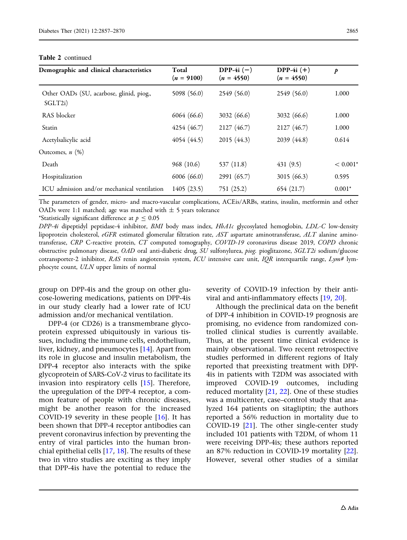| Demographic and clinical characteristics            | Total<br>$(n = 9100)$ | DPP-4i $(-)$<br>$(n = 4550)$ | DPP-4i $(+)$<br>$(n = 4550)$ | p          |
|-----------------------------------------------------|-----------------------|------------------------------|------------------------------|------------|
| Other OADs (SU, acarbose, glinid, piog.,<br>SGLT2i) | 5098 (56.0)           | 2549 (56.0)                  | 2549 (56.0)                  | 1.000      |
| RAS blocker                                         | 6064 (66.6)           | 3032(66.6)                   | 3032(66.6)                   | 1.000      |
| Statin                                              | 4254 (46.7)           | 2127 (46.7)                  | 2127 (46.7)                  | 1.000      |
| Acetylsalicylic acid                                | 4054 (44.5)           | 2015 (44.3)                  | 2039 (44.8)                  | 0.614      |
| Outcomes, $n$ $(\%)$                                |                       |                              |                              |            |
| Death                                               | 968 (10.6)            | 537 (11.8)                   | 431(9.5)                     | $< 0.001*$ |
| Hospitalization                                     | 6006(66.0)            | 2991 (65.7)                  | 3015 $(66.3)$                | 0.595      |
| ICU admission and/or mechanical ventilation         | 1405(23.5)            | 751(25.2)                    | 654(21.7)                    | $0.001*$   |

The parameters of gender, micro- and macro-vascular complications, ACEis/ARBs, statins, insulin, metformin and other OADs were 1:1 matched; age was matched with  $\pm$  5 years tolerance

\*Statistically significant difference at  $p \le 0.05$ 

DPP-4i dipeptidyl peptidase-4 inhibitor, BMI body mass index, HbA1c glycosylated hemoglobin, LDL-C low-density lipoprotein cholesterol, eGFR estimated glomerular filtration rate, AST aspartate aminotransferase, ALT alanine aminotransferase, CRP C-reactive protein, CT computed tomography, COVID-19 coronavirus disease 2019, COPD chronic obstructive pulmonary disease, OAD oral anti-diabetic drug, SU sulfonylurea, piog. pioglitazone, SGLT2i sodium/glucose cotransporter-2 inhibitor, RAS renin angiotensin system, ICU intensive care unit, IQR interquartile range,  $Lym#$  lymphocyte count, ULN upper limits of normal

group on DPP-4is and the group on other glucose-lowering medications, patients on DPP-4is in our study clearly had a lower rate of ICU admission and/or mechanical ventilation.

DPP-4 (or CD26) is a transmembrane glycoprotein expressed ubiquitously in various tissues, including the immune cells, endothelium, liver, kidney, and pneumocytes [\[14\]](#page-12-0). Apart from its role in glucose and insulin metabolism, the DPP-4 receptor also interacts with the spike glycoprotein of SARS-CoV-2 virus to facilitate its invasion into respiratory cells [[15](#page-12-0)]. Therefore, the upregulation of the DPP-4 receptor, a common feature of people with chronic diseases, might be another reason for the increased COVID-19 severity in these people  $[16]$ . It has been shown that DPP-4 receptor antibodies can prevent coronavirus infection by preventing the entry of viral particles into the human bronchial epithelial cells [[17](#page-12-0), [18](#page-12-0)]. The results of these two in vitro studies are exciting as they imply that DPP-4is have the potential to reduce the

severity of COVID-19 infection by their antiviral and anti-inflammatory effects [\[19,](#page-12-0) [20](#page-12-0)].

Although the preclinical data on the benefit of DPP-4 inhibition in COVID-19 prognosis are promising, no evidence from randomized controlled clinical studies is currently available. Thus, at the present time clinical evidence is mainly observational. Two recent retrospective studies performed in different regions of Italy reported that preexisting treatment with DPP-4is in patients with T2DM was associated with improved COVID-19 outcomes, including reduced mortality [[21](#page-12-0), [22\]](#page-12-0). One of these studies was a multicenter, case–control study that analyzed 164 patients on sitagliptin; the authors reported a 56% reduction in mortality due to COVID-19 [[21](#page-12-0)]. The other single-center study included 101 patients with T2DM, of whom 11 were receiving DPP-4is; these authors reported an 87% reduction in COVID-19 mortality [[22](#page-12-0)]. However, several other studies of a similar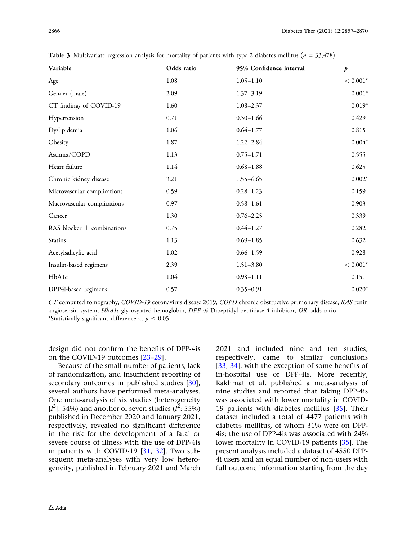| Variable                       | Odds ratio | 95% Confidence interval | $\boldsymbol{p}$ |
|--------------------------------|------------|-------------------------|------------------|
| Age                            | 1.08       | $1.05 - 1.10$           | $< 0.001*$       |
| Gender (male)                  | 2.09       | $1.37 - 3.19$           | $0.001*$         |
| CT findings of COVID-19        | 1.60       | $1.08 - 2.37$           | $0.019*$         |
| Hypertension                   | 0.71       | $0.30 - 1.66$           | 0.429            |
| Dyslipidemia                   | 1.06       | $0.64 - 1.77$           | 0.815            |
| Obesity                        | 1.87       | $1.22 - 2.84$           | $0.004*$         |
| Asthma/COPD                    | 1.13       | $0.75 - 1.71$           | 0.555            |
| Heart failure                  | 1.14       | $0.68 - 1.88$           | 0.625            |
| Chronic kidney disease         | 3.21       | $1.55 - 6.65$           | $0.002*$         |
| Microvascular complications    | 0.59       | $0.28 - 1.23$           | 0.159            |
| Macrovascular complications    | 0.97       | $0.58 - 1.61$           | 0.903            |
| Cancer                         | 1.30       | $0.76 - 2.25$           | 0.339            |
| RAS blocker $\pm$ combinations | 0.75       | $0.44 - 1.27$           | 0.282            |
| Statins                        | 1.13       | $0.69 - 1.85$           | 0.632            |
| Acetylsalicylic acid           | 1.02       | $0.66 - 1.59$           | 0.928            |
| Insulin-based regimens         | 2.39       | $1.51 - 3.80$           | $< 0.001*$       |
| HbA1c                          | 1.04       | $0.98 - 1.11$           | 0.151            |
| DPP4i-based regimens           | 0.57       | $0.35 - 0.91$           | $0.020*$         |

<span id="page-9-0"></span>**Table 3** Multivariate regression analysis for mortality of patients with type 2 diabetes mellitus ( $n = 33,478$ )

CT computed tomography, COVID-19 coronavirus disease 2019, COPD chronic obstructive pulmonary disease, RAS renin angiotensin system, HbA1c glycosylated hemoglobin, DPP-4i Dipeptidyl peptidase-4 inhibitor, OR odds ratio \*Statistically significant difference at  $p \le 0.05$ 

design did not confirm the benefits of DPP-4is on the COVID-19 outcomes [\[23–](#page-12-0)[29\]](#page-13-0).

Because of the small number of patients, lack of randomization, and insufficient reporting of secondary outcomes in published studies [[30](#page-13-0)], several authors have performed meta-analyses. One meta-analysis of six studies (heterogeneity [ $I^2$ ]: 54%) and another of seven studies ( $I^2$ : 55%) published in December 2020 and January 2021, respectively, revealed no significant difference in the risk for the development of a fatal or severe course of illness with the use of DPP-4is in patients with COVID-19 [[31](#page-13-0), [32](#page-13-0)]. Two subsequent meta-analyses with very low heterogeneity, published in February 2021 and March

2021 and included nine and ten studies, respectively, came to similar conclusions [\[33,](#page-13-0) [34](#page-13-0)], with the exception of some benefits of in-hospital use of DPP-4is. More recently, Rakhmat et al. published a meta-analysis of nine studies and reported that taking DPP-4is was associated with lower mortality in COVID-19 patients with diabetes mellitus [\[35\]](#page-13-0). Their dataset included a total of 4477 patients with diabetes mellitus, of whom 31% were on DPP-4is; the use of DPP-4is was associated with 24% lower mortality in COVID-19 patients [\[35\]](#page-13-0). The present analysis included a dataset of 4550 DPP-4i users and an equal number of non-users with full outcome information starting from the day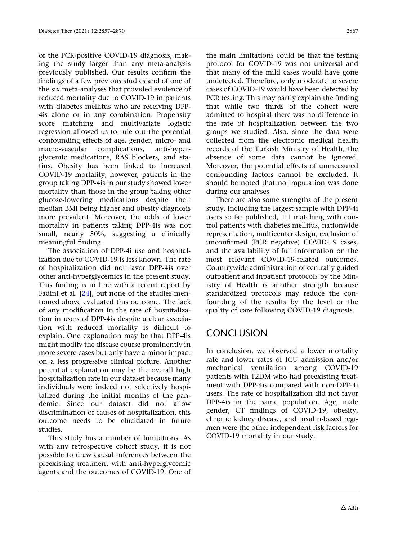of the PCR-positive COVID-19 diagnosis, making the study larger than any meta-analysis previously published. Our results confirm the findings of a few previous studies and of one of the six meta-analyses that provided evidence of reduced mortality due to COVID-19 in patients with diabetes mellitus who are receiving DPP-4is alone or in any combination. Propensity score matching and multivariate logistic regression allowed us to rule out the potential confounding effects of age, gender, micro- and macro-vascular complications, anti-hyperglycemic medications, RAS blockers, and statins. Obesity has been linked to increased COVID-19 mortality; however, patients in the group taking DPP-4is in our study showed lower mortality than those in the group taking other glucose-lowering medications despite their median BMI being higher and obesity diagnosis more prevalent. Moreover, the odds of lower mortality in patients taking DPP-4is was not small, nearly 50%, suggesting a clinically meaningful finding.

The association of DPP-4i use and hospitalization due to COVID-19 is less known. The rate of hospitalization did not favor DPP-4is over other anti-hyperglycemics in the present study. This finding is in line with a recent report by Fadini et al. [[24](#page-12-0)], but none of the studies mentioned above evaluated this outcome. The lack of any modification in the rate of hospitalization in users of DPP-4is despite a clear association with reduced mortality is difficult to explain. One explanation may be that DPP-4is might modify the disease course prominently in more severe cases but only have a minor impact on a less progressive clinical picture. Another potential explanation may be the overall high hospitalization rate in our dataset because many individuals were indeed not selectively hospitalized during the initial months of the pandemic. Since our dataset did not allow discrimination of causes of hospitalization, this outcome needs to be elucidated in future studies.

This study has a number of limitations. As with any retrospective cohort study, it is not possible to draw causal inferences between the preexisting treatment with anti-hyperglycemic agents and the outcomes of COVID-19. One of the main limitations could be that the testing protocol for COVID-19 was not universal and that many of the mild cases would have gone undetected. Therefore, only moderate to severe cases of COVID-19 would have been detected by PCR testing. This may partly explain the finding that while two thirds of the cohort were admitted to hospital there was no difference in the rate of hospitalization between the two groups we studied. Also, since the data were collected from the electronic medical health records of the Turkish Ministry of Health, the absence of some data cannot be ignored. Moreover, the potential effects of unmeasured confounding factors cannot be excluded. It should be noted that no imputation was done during our analyses.

There are also some strengths of the present study, including the largest sample with DPP-4i users so far published, 1:1 matching with control patients with diabetes mellitus, nationwide representation, multicenter design, exclusion of unconfirmed (PCR negative) COVID-19 cases, and the availability of full information on the most relevant COVID-19-related outcomes. Countrywide administration of centrally guided outpatient and inpatient protocols by the Ministry of Health is another strength because standardized protocols may reduce the confounding of the results by the level or the quality of care following COVID-19 diagnosis.

# **CONCLUSION**

In conclusion, we observed a lower mortality rate and lower rates of ICU admission and/or mechanical ventilation among COVID-19 patients with T2DM who had preexisting treatment with DPP-4is compared with non-DPP-4i users. The rate of hospitalization did not favor DPP-4is in the same population. Age, male gender, CT findings of COVID-19, obesity, chronic kidney disease, and insulin-based regimen were the other independent risk factors for COVID-19 mortality in our study.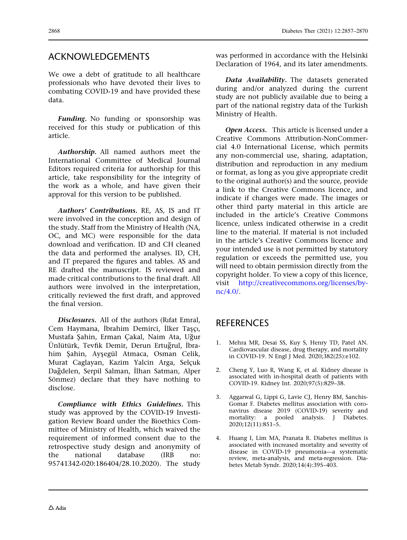## <span id="page-11-0"></span>ACKNOWLEDGEMENTS

We owe a debt of gratitude to all healthcare professionals who have devoted their lives to combating COVID-19 and have provided these data.

Funding. No funding or sponsorship was received for this study or publication of this article.

Authorship. All named authors meet the International Committee of Medical Journal Editors required criteria for authorship for this article, take responsibility for the integrity of the work as a whole, and have given their approval for this version to be published.

Authors' Contributions. RE, AS, IS and IT were involved in the conception and design of the study. Staff from the Ministry of Health (NA, OC, and MC) were responsible for the data download and verification. ID and CH cleaned the data and performed the analyses. ID, CH, and IT prepared the figures and tables. AS and RE drafted the manuscript. IS reviewed and made critical contributions to the final draft. All authors were involved in the interpretation, critically reviewed the first draft, and approved the final version.

Disclosures. All of the authors (Rıfat Emral, Cem Haymana, İbrahim Demirci, İlker Tasçı, Mustafa Şahin, Erman Çakal, Naim Ata, Uğur Ünlütürk, Tevfik Demir, Derun Ertuğrul, İbrahim Şahin, Ayşegül Atmaca, Osman Celik, Murat Caglayan, Kazim Yalcin Arga, Selçuk Dağdelen, Serpil Salman, İlhan Satman, Alper Sönmez) declare that they have nothing to disclose.

Compliance with Ethics Guidelines. This study was approved by the COVID-19 Investigation Review Board under the Bioethics Committee of Ministry of Health, which waived the requirement of informed consent due to the retrospective study design and anonymity of the national database (IRB no: 95741342-020:186404/28.10.2020). The study

was performed in accordance with the Helsinki Declaration of 1964, and its later amendments.

Data Availability. The datasets generated during and/or analyzed during the current study are not publicly available due to being a part of the national registry data of the Turkish Ministry of Health.

Open Access. This article is licensed under a Creative Commons Attribution-NonCommercial 4.0 International License, which permits any non-commercial use, sharing, adaptation, distribution and reproduction in any medium or format, as long as you give appropriate credit to the original author(s) and the source, provide a link to the Creative Commons licence, and indicate if changes were made. The images or other third party material in this article are included in the article's Creative Commons licence, unless indicated otherwise in a credit line to the material. If material is not included in the article's Creative Commons licence and your intended use is not permitted by statutory regulation or exceeds the permitted use, you will need to obtain permission directly from the copyright holder. To view a copy of this licence, visit [http://creativecommons.org/licenses/by](http://creativecommons.org/licenses/by-nc/4.0/)[nc/4.0/.](http://creativecommons.org/licenses/by-nc/4.0/)

# REFERENCES

- 1. Mehra MR, Desai SS, Kuy S, Henry TD, Patel AN. Cardiovascular disease, drug therapy, and mortality in COVID-19. N Engl J Med. 2020;382(25):e102.
- 2. Cheng Y, Luo R, Wang K, et al. Kidney disease is associated with in-hospital death of patients with COVID-19. Kidney Int. 2020;97(5):829–38.
- 3. Aggarwal G, Lippi G, Lavie CJ, Henry BM, Sanchis-Gomar F. Diabetes mellitus association with coronavirus disease 2019 (COVID-19) severity and mortality: a pooled analysis. J Diabetes. 2020;12(11):851–5.
- 4. Huang I, Lim MA, Pranata R. Diabetes mellitus is associated with increased mortality and severity of disease in COVID-19 pneumonia—a systematic review, meta-analysis, and meta-regression. Diabetes Metab Syndr. 2020;14(4):395–403.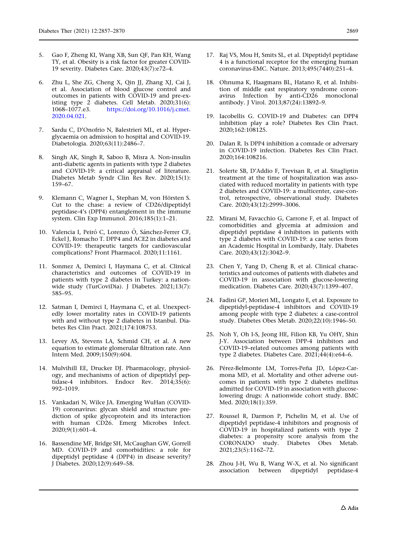- <span id="page-12-0"></span>5. Gao F, Zheng KI, Wang XB, Sun QF, Pan KH, Wang TY, et al. Obesity is a risk factor for greater COVID-19 severity. Diabetes Care. 2020;43(7):e72–4.
- 6. Zhu L, She ZG, Cheng X, Qin JJ, Zhang XJ, Cai J, et al. Association of blood glucose control and outcomes in patients with COVID-19 and pre-existing type 2 diabetes. Cell Metab. 2020;31(6):<br>1068–1077.e3. https://doi.org/10.1016/j.cmet. [https://doi.org/10.1016/j.cmet.](https://doi.org/10.1016/j.cmet.2020.04.021) [2020.04.021](https://doi.org/10.1016/j.cmet.2020.04.021).
- 7. Sardu C, D'Onofrio N, Balestrieri ML, et al. Hyperglycaemia on admission to hospital and COVID-19. Diabetologia. 2020;63(11):2486–7.
- 8. Singh AK, Singh R, Saboo B, Misra A. Non-insulin anti-diabetic agents in patients with type 2 diabetes and COVID-19: a critical appraisal of literature. Diabetes Metab Syndr Clin Res Rev. 2020;15(1): 159–67.
- 9. Klemann C, Wagner L, Stephan M, von Hörsten S. Cut to the chase: a review of CD26/dipeptidyl peptidase-4's (DPP4) entanglement in the immune system. Clin Exp Immunol. 2016;185(1):1–21.
- 10. Valencia I, Peiró C, Lorenzo Ó, Sánchez-Ferrer CF, Eckel J, Romacho T. DPP4 and ACE2 in diabetes and COVID-19: therapeutic targets for cardiovascular complications? Front Pharmacol. 2020;11:1161.
- 11. Sonmez A, Demirci I, Haymana C, et al. Clinical characteristics and outcomes of COVID-19 in patients with type 2 diabetes in Turkey: a nationwide study (TurCoviDia). J Diabetes. 2021;13(7): 585–95.
- 12. Satman I, Demirci I, Haymana C, et al. Unexpectedly lower mortality rates in COVID-19 patients with and without type 2 diabetes in Istanbul. Diabetes Res Clin Pract. 2021;174:108753.
- 13. Levey AS, Stevens LA, Schmid CH, et al. A new equation to estimate glomerular filtration rate. Ann Intern Med. 2009;150(9):604.
- 14. Mulvihill EE, Drucker DJ. Pharmacology, physiology, and mechanisms of action of dipeptidyl peptidase-4 inhibitors. Endocr Rev. 2014;35(6): 992–1019.
- 15. Vankadari N, Wilce JA. Emerging WuHan (COVID-19) coronavirus: glycan shield and structure prediction of spike glycoprotein and its interaction with human CD26. Emerg Microbes Infect. 2020;9(1):601–4.
- 16. Bassendine MF, Bridge SH, McCaughan GW, Gorrell MD. COVID-19 and comorbidities: a role for dipeptidyl peptidase 4 (DPP4) in disease severity? J Diabetes. 2020;12(9):649–58.
- 17. Raj VS, Mou H, Smits SL, et al. Dipeptidyl peptidase 4 is a functional receptor for the emerging human coronavirus-EMC. Nature. 2013;495(7440):251–4.
- 18. Ohnuma K, Haagmans BL, Hatano R, et al. Inhibition of middle east respiratory syndrome coronavirus Infection by anti-CD26 monoclonal antibody. J Virol. 2013;87(24):13892–9.
- 19. Iacobellis G. COVID-19 and Diabetes: can DPP4 inhibition play a role? Diabetes Res Clin Pract. 2020;162:108125.
- 20. Dalan R. Is DPP4 inhibition a comrade or adversary in COVID-19 infection. Diabetes Res Clin Pract. 2020;164:108216.
- 21. Solerte SB, D'Addio F, Trevisan R, et al. Sitagliptin treatment at the time of hospitalization was associated with reduced mortality in patients with type 2 diabetes and COVID-19: a multicenter, case-control, retrospective, observational study. Diabetes Care. 2020;43(12):2999–3006.
- 22. Mirani M, Favacchio G, Carrone F, et al. Impact of comorbidities and glycemia at admission and dipeptidyl peptidase 4 inhibitors in patients with type 2 diabetes with COVID-19: a case series from an Academic Hospital in Lombardy, Italy. Diabetes Care. 2020;43(12):3042–9.
- 23. Chen Y, Yang D, Cheng B, et al. Clinical characteristics and outcomes of patients with diabetes and COVID-19 in association with glucose-lowering medication. Diabetes Care. 2020;43(7):1399–407.
- 24. Fadini GP, Morieri ML, Longato E, et al. Exposure to dipeptidyl-peptidase-4 inhibitors and COVID-19 among people with type 2 diabetes: a case-control study. Diabetes Obes Metab. 2020;22(10):1946–50.
- 25. Noh Y, Oh I-S, Jeong HE, Filion KB, Yu OHY, Shin J-Y. Association between DPP-4 inhibitors and COVID-19–related outcomes among patients with type 2 diabetes. Diabetes Care. 2021;44(4):e64–6.
- 26. Pérez-Belmonte LM, Torres-Peña JD, López-Carmona MD, et al. Mortality and other adverse outcomes in patients with type 2 diabetes mellitus admitted for COVID-19 in association with glucoselowering drugs: A nationwide cohort study. BMC Med. 2020;18(1):359.
- 27. Roussel R, Darmon P, Pichelin M, et al. Use of dipeptidyl peptidase-4 inhibitors and prognosis of COVID-19 in hospitalized patients with type 2 diabetes: a propensity score analysis from the CORONADO study. Diabetes Obes Metab. 2021;23(5):1162–72.
- 28. Zhou J-H, Wu B, Wang W-X, et al. No significant association between dipeptidyl peptidase-4